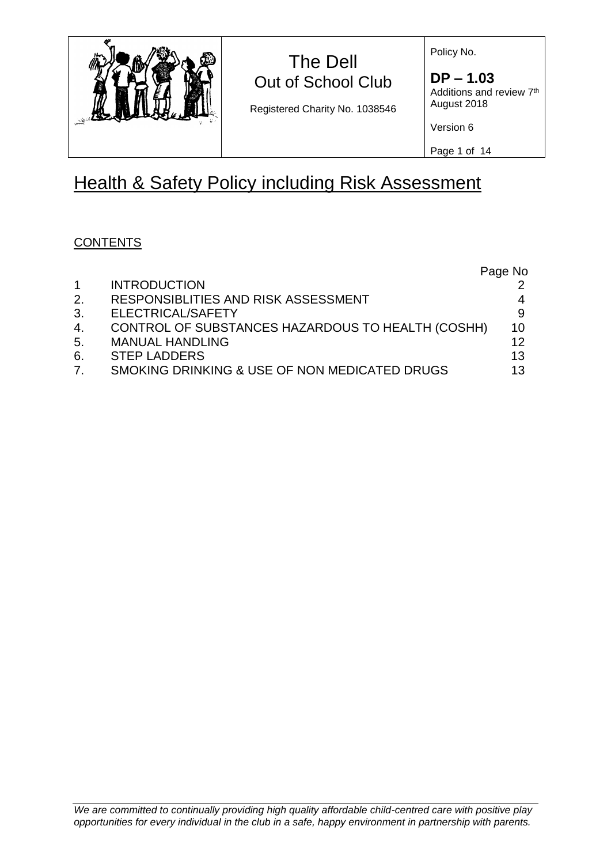



Registered Charity No. 1038546

**DP – 1.03** Additions and review 7<sup>th</sup> August 2018

Version 6

Page 1 of 14

# **Health & Safety Policy including Risk Assessment**

# **CONTENTS**

|                |                                                   | Page No         |
|----------------|---------------------------------------------------|-----------------|
|                | <b>INTRODUCTION</b>                               |                 |
| 2.             | RESPONSIBLITIES AND RISK ASSESSMENT               | 4               |
| 3.             | ELECTRICAL/SAFETY                                 | 9               |
| 4.             | CONTROL OF SUBSTANCES HAZARDOUS TO HEALTH (COSHH) | 10              |
| 5.             | <b>MANUAL HANDLING</b>                            | 12 <sup>2</sup> |
| 6.             | <b>STEP LADDERS</b>                               | 13              |
| 7 <sub>1</sub> | SMOKING DRINKING & USE OF NON MEDICATED DRUGS     | 13              |
|                |                                                   |                 |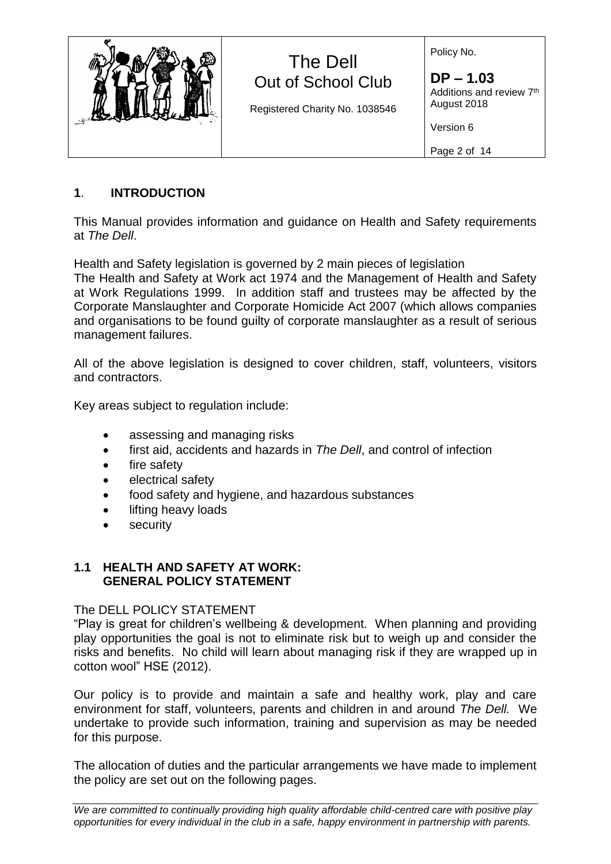| Ð<br>Ę | The Dell<br>Out of School Club<br>Registered Charity No. 1038546 | Policy No.<br>$DP - 1.03$<br>Additions and review 7th<br>August 2018<br>Version 6<br>Page 2 of 14 |
|--------|------------------------------------------------------------------|---------------------------------------------------------------------------------------------------|
|--------|------------------------------------------------------------------|---------------------------------------------------------------------------------------------------|

# **1**. **INTRODUCTION**

This Manual provides information and guidance on Health and Safety requirements at *The Dell*.

Health and Safety legislation is governed by 2 main pieces of legislation The Health and Safety at Work act 1974 and the Management of Health and Safety at Work Regulations 1999. In addition staff and trustees may be affected by the Corporate Manslaughter and Corporate Homicide Act 2007 (which allows companies and organisations to be found guilty of corporate manslaughter as a result of serious management failures.

All of the above legislation is designed to cover children, staff, volunteers, visitors and contractors.

Key areas subject to regulation include:

- assessing and managing risks
- first aid, accidents and hazards in *The Dell*, and control of infection
- fire safety
- electrical safety
- food safety and hygiene, and hazardous substances
- lifting heavy loads
- security

#### **1.1 HEALTH AND SAFETY AT WORK: GENERAL POLICY STATEMENT**

#### The DELL POLICY STATEMENT

"Play is great for children's wellbeing & development. When planning and providing play opportunities the goal is not to eliminate risk but to weigh up and consider the risks and benefits. No child will learn about managing risk if they are wrapped up in cotton wool" HSE (2012).

Our policy is to provide and maintain a safe and healthy work, play and care environment for staff, volunteers, parents and children in and around *The Dell.* We undertake to provide such information, training and supervision as may be needed for this purpose.

The allocation of duties and the particular arrangements we have made to implement the policy are set out on the following pages.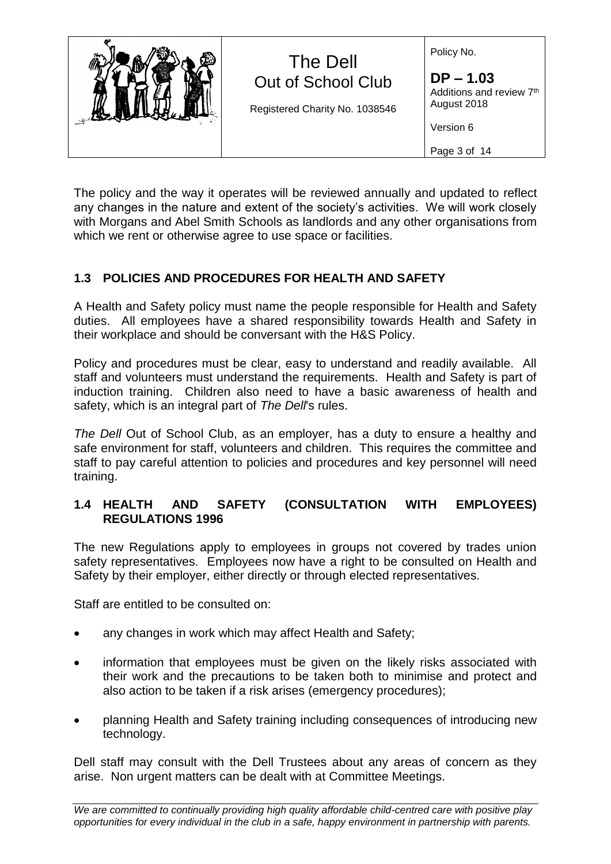The policy and the way it operates will be reviewed annually and updated to reflect any changes in the nature and extent of the society's activities. We will work closely with Morgans and Abel Smith Schools as landlords and any other organisations from which we rent or otherwise agree to use space or facilities.

# **1.3 POLICIES AND PROCEDURES FOR HEALTH AND SAFETY**

A Health and Safety policy must name the people responsible for Health and Safety duties. All employees have a shared responsibility towards Health and Safety in their workplace and should be conversant with the H&S Policy.

Policy and procedures must be clear, easy to understand and readily available. All staff and volunteers must understand the requirements. Health and Safety is part of induction training. Children also need to have a basic awareness of health and safety, which is an integral part of *The Dell*'s rules.

*The Dell* Out of School Club, as an employer, has a duty to ensure a healthy and safe environment for staff, volunteers and children. This requires the committee and staff to pay careful attention to policies and procedures and key personnel will need training.

#### **1.4 HEALTH AND SAFETY (CONSULTATION WITH EMPLOYEES) REGULATIONS 1996**

The new Regulations apply to employees in groups not covered by trades union safety representatives. Employees now have a right to be consulted on Health and Safety by their employer, either directly or through elected representatives.

Staff are entitled to be consulted on:

- any changes in work which may affect Health and Safety;
- information that employees must be given on the likely risks associated with their work and the precautions to be taken both to minimise and protect and also action to be taken if a risk arises (emergency procedures);
- planning Health and Safety training including consequences of introducing new technology.

Dell staff may consult with the Dell Trustees about any areas of concern as they arise. Non urgent matters can be dealt with at Committee Meetings.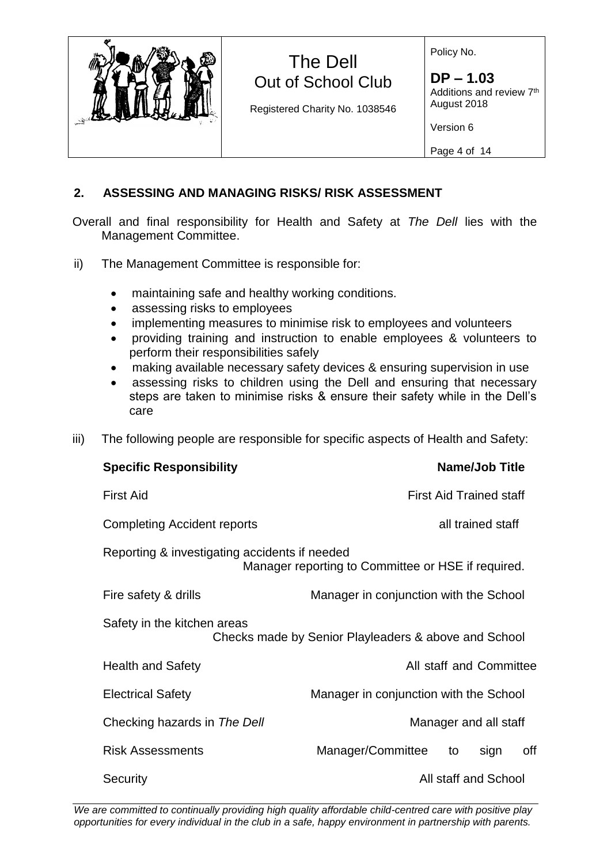

Registered Charity No. 1038546

**DP – 1.03** Additions and review 7<sup>th</sup> August 2018

Version 6

Page 4 of 14

# **2. ASSESSING AND MANAGING RISKS/ RISK ASSESSMENT**

Overall and final responsibility for Health and Safety at *The Dell* lies with the Management Committee.

- ii) The Management Committee is responsible for:
	- maintaining safe and healthy working conditions.
	- assessing risks to employees
	- implementing measures to minimise risk to employees and volunteers
	- providing training and instruction to enable employees & volunteers to perform their responsibilities safely
	- making available necessary safety devices & ensuring supervision in use
	- assessing risks to children using the Dell and ensuring that necessary steps are taken to minimise risks & ensure their safety while in the Dell's care
- iii) The following people are responsible for specific aspects of Health and Safety:

| <b>Specific Responsibility</b>                | <b>Name/Job Title</b>                                |
|-----------------------------------------------|------------------------------------------------------|
| <b>First Aid</b>                              | <b>First Aid Trained staff</b>                       |
| <b>Completing Accident reports</b>            | all trained staff                                    |
| Reporting & investigating accidents if needed | Manager reporting to Committee or HSE if required.   |
| Fire safety & drills                          | Manager in conjunction with the School               |
| Safety in the kitchen areas                   | Checks made by Senior Playleaders & above and School |
| <b>Health and Safety</b>                      | All staff and Committee                              |
| <b>Electrical Safety</b>                      | Manager in conjunction with the School               |
| Checking hazards in The Dell                  | Manager and all staff                                |
| <b>Risk Assessments</b>                       | Manager/Committee<br>off<br>to<br>sign               |
| Security                                      | All staff and School                                 |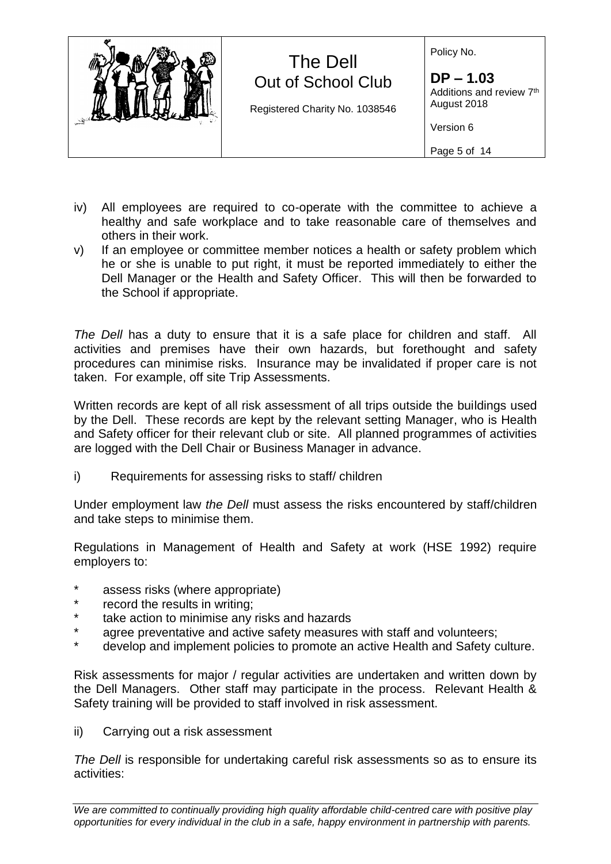| The Dell<br>L)<br>Out of School Club<br>Registered Charity No. 1038546 | Policy No.<br>$DP - 1.03$<br>Additions and review 7th<br>August 2018<br>Version 6<br>Page 5 of 14 |
|------------------------------------------------------------------------|---------------------------------------------------------------------------------------------------|
|------------------------------------------------------------------------|---------------------------------------------------------------------------------------------------|

- iv) All employees are required to co-operate with the committee to achieve a healthy and safe workplace and to take reasonable care of themselves and others in their work.
- v) If an employee or committee member notices a health or safety problem which he or she is unable to put right, it must be reported immediately to either the Dell Manager or the Health and Safety Officer. This will then be forwarded to the School if appropriate.

*The Dell* has a duty to ensure that it is a safe place for children and staff. All activities and premises have their own hazards, but forethought and safety procedures can minimise risks. Insurance may be invalidated if proper care is not taken. For example, off site Trip Assessments.

Written records are kept of all risk assessment of all trips outside the buildings used by the Dell. These records are kept by the relevant setting Manager, who is Health and Safety officer for their relevant club or site. All planned programmes of activities are logged with the Dell Chair or Business Manager in advance.

i) Requirements for assessing risks to staff/ children

Under employment law *the Dell* must assess the risks encountered by staff/children and take steps to minimise them.

Regulations in Management of Health and Safety at work (HSE 1992) require employers to:

- assess risks (where appropriate)
- \* record the results in writing;
- \* take action to minimise any risks and hazards
- agree preventative and active safety measures with staff and volunteers;
- develop and implement policies to promote an active Health and Safety culture.

Risk assessments for major / regular activities are undertaken and written down by the Dell Managers. Other staff may participate in the process. Relevant Health & Safety training will be provided to staff involved in risk assessment.

ii) Carrying out a risk assessment

*The Dell* is responsible for undertaking careful risk assessments so as to ensure its activities: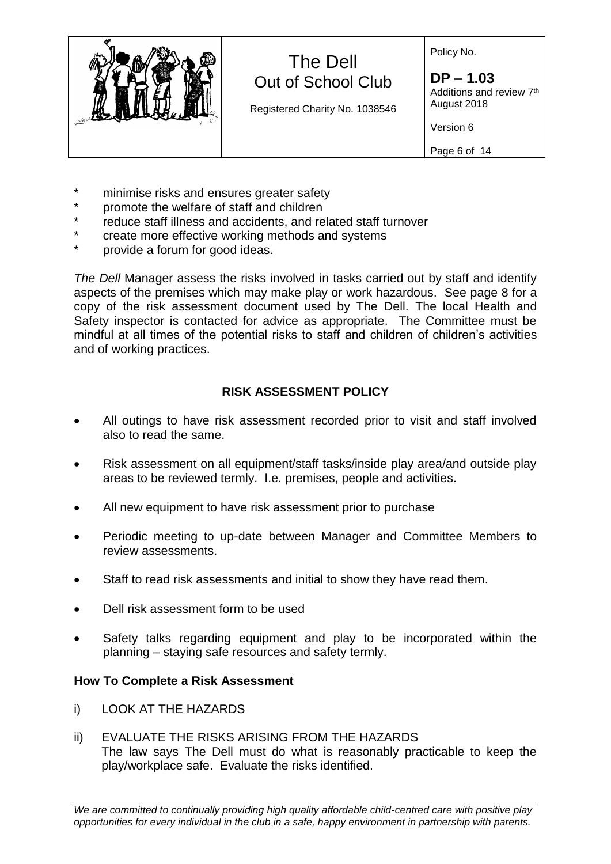| Policy No. |  |
|------------|--|
|------------|--|

#### **DP – 1.03** Additions and review 7<sup>th</sup> August 2018

Version 6

Page 6 of 14

- \* minimise risks and ensures greater safety
- promote the welfare of staff and children
- reduce staff illness and accidents, and related staff turnover
- create more effective working methods and systems
- provide a forum for good ideas.

*The Dell* Manager assess the risks involved in tasks carried out by staff and identify aspects of the premises which may make play or work hazardous. See page 8 for a copy of the risk assessment document used by The Dell. The local Health and Safety inspector is contacted for advice as appropriate. The Committee must be mindful at all times of the potential risks to staff and children of children's activities and of working practices.

The Dell Out of School Club

Registered Charity No. 1038546

# **RISK ASSESSMENT POLICY**

- All outings to have risk assessment recorded prior to visit and staff involved also to read the same.
- Risk assessment on all equipment/staff tasks/inside play area/and outside play areas to be reviewed termly. I.e. premises, people and activities.
- All new equipment to have risk assessment prior to purchase
- Periodic meeting to up-date between Manager and Committee Members to review assessments.
- Staff to read risk assessments and initial to show they have read them.
- Dell risk assessment form to be used
- Safety talks regarding equipment and play to be incorporated within the planning – staying safe resources and safety termly.

#### **How To Complete a Risk Assessment**

- i) LOOK AT THE HAZARDS
- ii) EVALUATE THE RISKS ARISING FROM THE HAZARDS The law says The Dell must do what is reasonably practicable to keep the play/workplace safe. Evaluate the risks identified.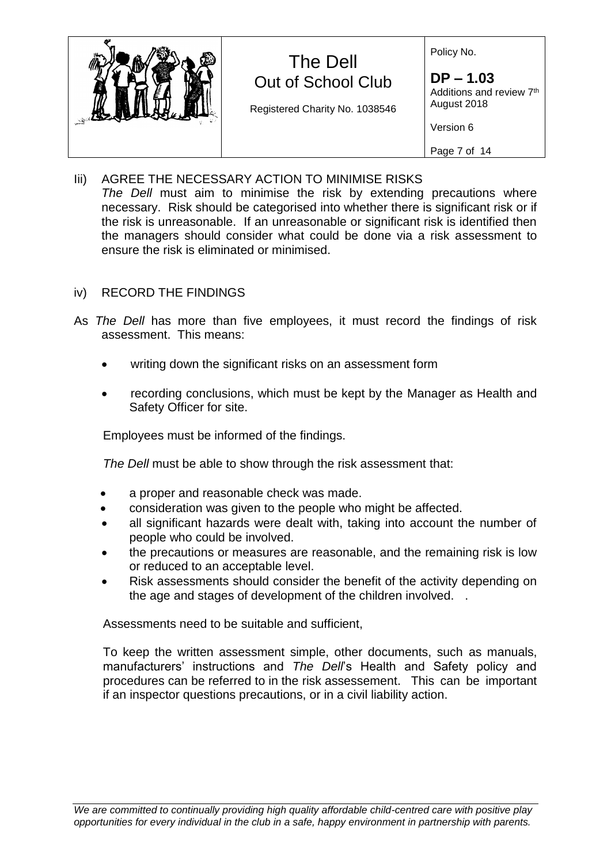| L2) | The Dell<br>Out of School Club<br>Registered Charity No. 1038546 | Policy No.<br>$DP - 1.03$<br>Additions and review 7th<br>August 2018<br>Version 6<br>Page 7 of 14 |
|-----|------------------------------------------------------------------|---------------------------------------------------------------------------------------------------|
|-----|------------------------------------------------------------------|---------------------------------------------------------------------------------------------------|

## Iii) AGREE THE NECESSARY ACTION TO MINIMISE RISKS

*The Dell* must aim to minimise the risk by extending precautions where necessary. Risk should be categorised into whether there is significant risk or if the risk is unreasonable. If an unreasonable or significant risk is identified then the managers should consider what could be done via a risk assessment to ensure the risk is eliminated or minimised.

- iv) RECORD THE FINDINGS
- As *The Dell* has more than five employees, it must record the findings of risk assessment. This means:
	- writing down the significant risks on an assessment form
	- recording conclusions, which must be kept by the Manager as Health and Safety Officer for site.

Employees must be informed of the findings.

*The Dell* must be able to show through the risk assessment that:

- a proper and reasonable check was made.
- consideration was given to the people who might be affected.
- all significant hazards were dealt with, taking into account the number of people who could be involved.
- the precautions or measures are reasonable, and the remaining risk is low or reduced to an acceptable level.
- Risk assessments should consider the benefit of the activity depending on the age and stages of development of the children involved. .

Assessments need to be suitable and sufficient,

To keep the written assessment simple, other documents, such as manuals, manufacturers' instructions and *The Dell*'s Health and Safety policy and procedures can be referred to in the risk assessement. This can be important if an inspector questions precautions, or in a civil liability action.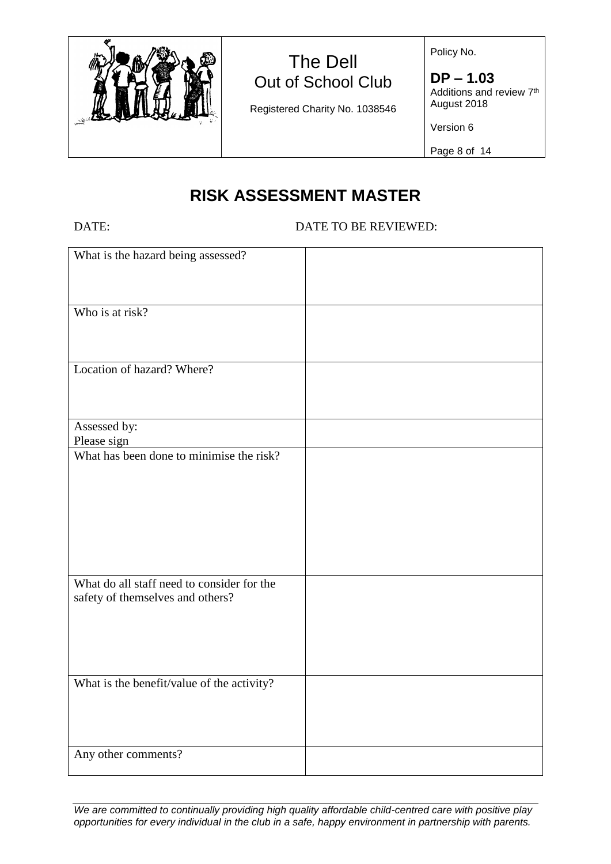

Registered Charity No. 1038546

Policy No.

**DP – 1.03** Additions and review 7<sup>th</sup> August 2018

Version 6

Page 8 of 14

# **RISK ASSESSMENT MASTER**

#### DATE: DATE TO BE REVIEWED:

| What is the hazard being assessed?         |  |
|--------------------------------------------|--|
|                                            |  |
|                                            |  |
|                                            |  |
|                                            |  |
| Who is at risk?                            |  |
|                                            |  |
|                                            |  |
|                                            |  |
|                                            |  |
| Location of hazard? Where?                 |  |
|                                            |  |
|                                            |  |
|                                            |  |
|                                            |  |
| Assessed by:                               |  |
| Please sign                                |  |
|                                            |  |
| What has been done to minimise the risk?   |  |
|                                            |  |
|                                            |  |
|                                            |  |
|                                            |  |
|                                            |  |
|                                            |  |
|                                            |  |
|                                            |  |
|                                            |  |
|                                            |  |
| What do all staff need to consider for the |  |
| safety of themselves and others?           |  |
|                                            |  |
|                                            |  |
|                                            |  |
|                                            |  |
|                                            |  |
|                                            |  |
|                                            |  |
| What is the benefit/value of the activity? |  |
|                                            |  |
|                                            |  |
|                                            |  |
|                                            |  |
|                                            |  |
| Any other comments?                        |  |
|                                            |  |
|                                            |  |

*We are committed to continually providing high quality affordable child-centred care with positive play opportunities for every individual in the club in a safe, happy environment in partnership with parents.*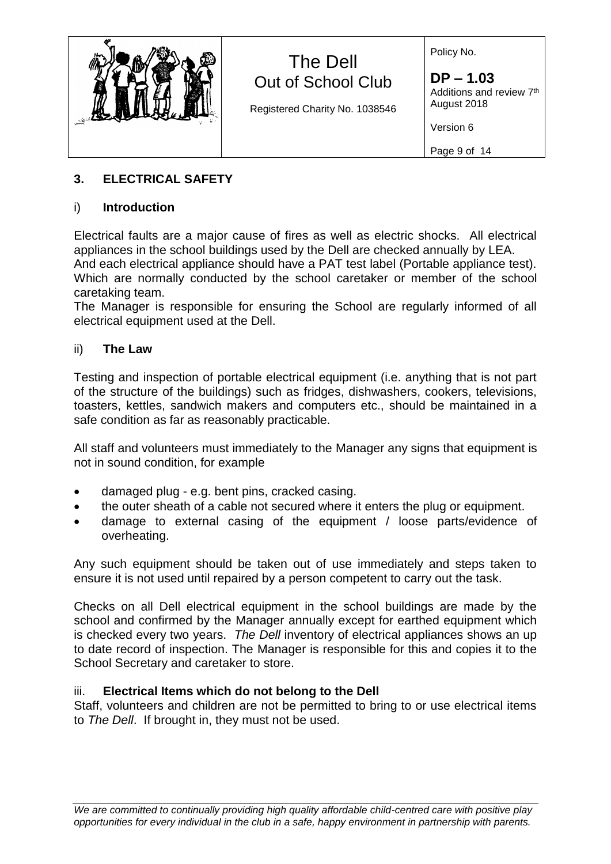| Ð | The Dell<br>Out of School Club<br>Registered Charity No. 1038546 | Policy No.<br>$DP - 1.03$<br>Additions and review 7th<br>August 2018<br>Version 6<br>Page 9 of 14 |
|---|------------------------------------------------------------------|---------------------------------------------------------------------------------------------------|
|---|------------------------------------------------------------------|---------------------------------------------------------------------------------------------------|

### **3. ELECTRICAL SAFETY**

#### i) **Introduction**

Electrical faults are a major cause of fires as well as electric shocks. All electrical appliances in the school buildings used by the Dell are checked annually by LEA. And each electrical appliance should have a PAT test label (Portable appliance test). Which are normally conducted by the school caretaker or member of the school caretaking team.

The Manager is responsible for ensuring the School are regularly informed of all electrical equipment used at the Dell.

#### ii) **The Law**

Testing and inspection of portable electrical equipment (i.e. anything that is not part of the structure of the buildings) such as fridges, dishwashers, cookers, televisions, toasters, kettles, sandwich makers and computers etc., should be maintained in a safe condition as far as reasonably practicable.

All staff and volunteers must immediately to the Manager any signs that equipment is not in sound condition, for example

- damaged plug e.g. bent pins, cracked casing.
- the outer sheath of a cable not secured where it enters the plug or equipment.
- damage to external casing of the equipment / loose parts/evidence of overheating.

Any such equipment should be taken out of use immediately and steps taken to ensure it is not used until repaired by a person competent to carry out the task.

Checks on all Dell electrical equipment in the school buildings are made by the school and confirmed by the Manager annually except for earthed equipment which is checked every two years. *The Dell* inventory of electrical appliances shows an up to date record of inspection. The Manager is responsible for this and copies it to the School Secretary and caretaker to store.

#### iii. **Electrical Items which do not belong to the Dell**

Staff, volunteers and children are not be permitted to bring to or use electrical items to *The Dell*. If brought in, they must not be used.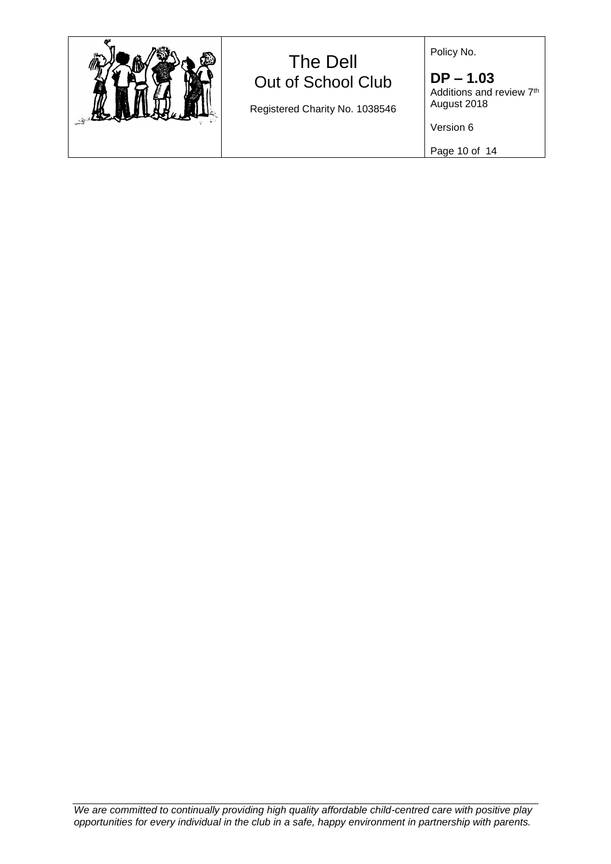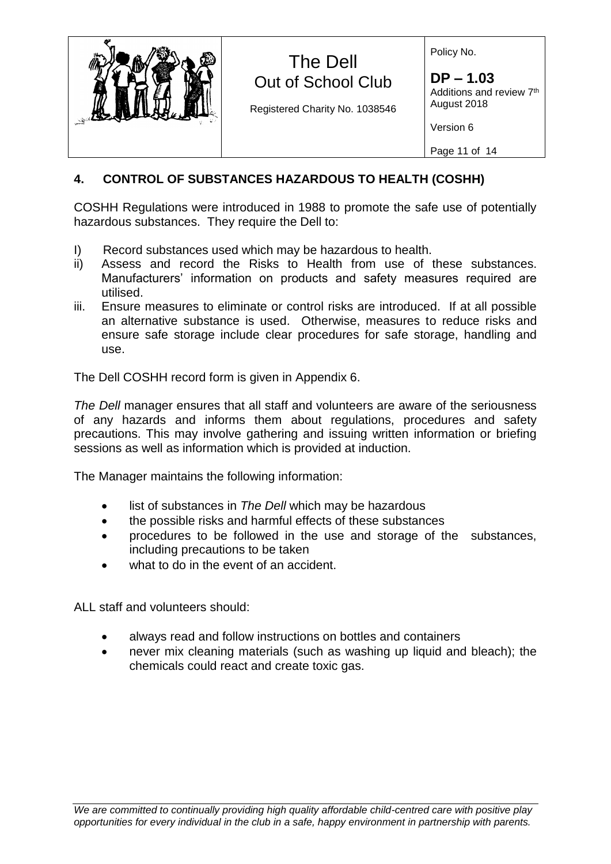| never mix cleaning materials (such as washing up liquid and bleach); the<br>chemicals could react and create toxic gas. |  |
|-------------------------------------------------------------------------------------------------------------------------|--|
|                                                                                                                         |  |

The Dell COSHH record form is given in Appendix 6. *The Dell* manager ensures that all staff and volunteers are aware of the seriousness of any hazards and informs them about regulations, procedures and safety

iii. Ensure measures to eliminate or control risks are introduced. If at all possible an alternative substance is used. Otherwise, measures to reduce risks and ensure safe storage include clear procedures for safe storage, handling and use.

#### COSHH Regulations were introduced in 1988 to promote the safe use of potentially hazardous substances. They require the Dell to:

**4. CONTROL OF SUBSTANCES HAZARDOUS TO HEALTH (COSHH)**

#### I) Record substances used which may be hazardous to health. ii) Assess and record the Risks to Health from use of these substances. Manufacturers' information on products and safety measures required are

utilised.

precautions. This may involve gathering and issuing written information or briefing sessions as well as information which is provided at induction.

The Manager maintains the following information:

- list of substances in *The Dell* which may be hazardous
- the possible risks and harmful effects of these substances
- procedures to be followed in the use and storage of the substances, including precautions to be taken
- what to do in the event of an accident.

ALL staff and volunteers should:

• always read and follow instructions on bottles and containers

*We are committed to continually providing high quality affordable child-centred care with positive play opportunities for every individual in the club in a safe, happy environment in partnership with parents.*



Registered Charity No. 1038546

Policy No.

**DP – 1.03**

August 2018

Page 11 of 14

Version 6

Additions and review 7<sup>th</sup>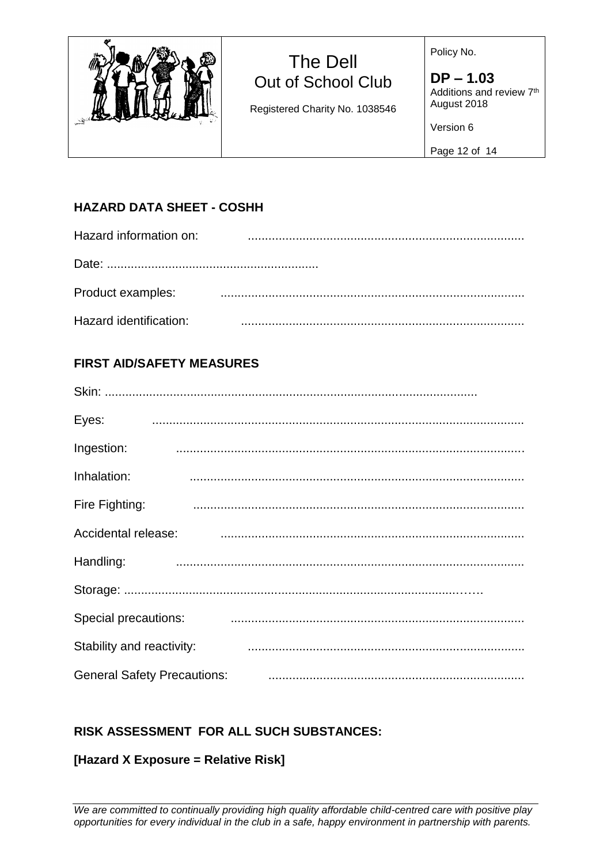

Registered Charity No. 1038546

Policy No.

 $DP - 1.03$ Additions and review 7th August 2018

Version 6

Page 12 of 14

# **HAZARD DATA SHEET - COSHH**

| Hazard information on: | . |
|------------------------|---|
|                        |   |
| Product examples:      |   |
| Hazard identification: |   |

# **FIRST AID/SAFETY MEASURES**

| Eyes:                              |
|------------------------------------|
| Ingestion:                         |
| Inhalation:                        |
| Fire Fighting:                     |
| Accidental release:                |
| Handling:                          |
|                                    |
| Special precautions:               |
| Stability and reactivity:          |
| <b>General Safety Precautions:</b> |

# **RISK ASSESSMENT FOR ALL SUCH SUBSTANCES:**

# [Hazard X Exposure = Relative Risk]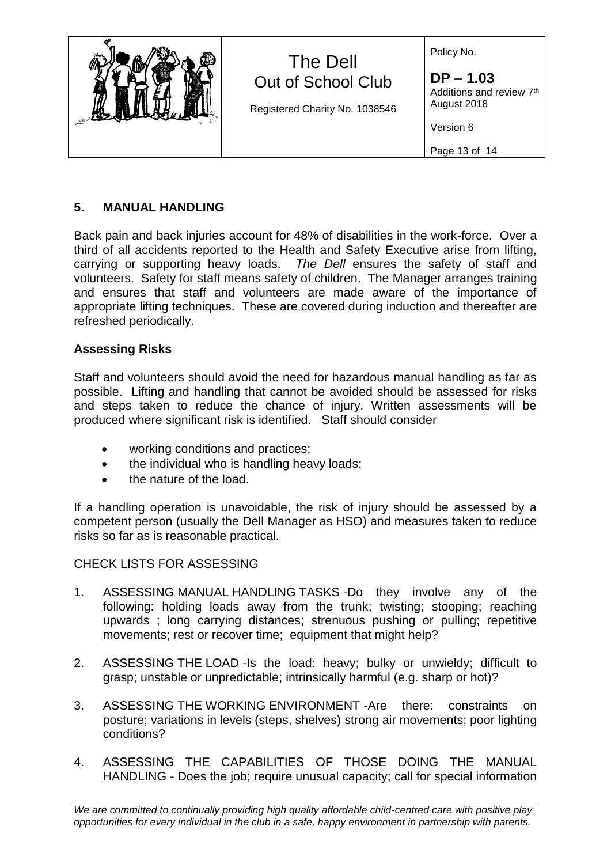

# **5. MANUAL HANDLING**

Back pain and back injuries account for 48% of disabilities in the work-force. Over a third of all accidents reported to the Health and Safety Executive arise from lifting, carrying or supporting heavy loads. *The Dell* ensures the safety of staff and volunteers. Safety for staff means safety of children. The Manager arranges training and ensures that staff and volunteers are made aware of the importance of appropriate lifting techniques. These are covered during induction and thereafter are refreshed periodically.

## **Assessing Risks**

Staff and volunteers should avoid the need for hazardous manual handling as far as possible. Lifting and handling that cannot be avoided should be assessed for risks and steps taken to reduce the chance of injury. Written assessments will be produced where significant risk is identified. Staff should consider

- working conditions and practices;
- the individual who is handling heavy loads;
- the nature of the load.

If a handling operation is unavoidable, the risk of injury should be assessed by a competent person (usually the Dell Manager as HSO) and measures taken to reduce risks so far as is reasonable practical.

#### CHECK LISTS FOR ASSESSING

- 1. ASSESSING MANUAL HANDLING TASKS -Do they involve any of the following: holding loads away from the trunk; twisting; stooping; reaching upwards ; long carrying distances; strenuous pushing or pulling; repetitive movements; rest or recover time; equipment that might help?
- 2. ASSESSING THE LOAD -Is the load: heavy; bulky or unwieldy; difficult to grasp; unstable or unpredictable; intrinsically harmful (e.g. sharp or hot)?
- 3. ASSESSING THE WORKING ENVIRONMENT -Are there: constraints on posture; variations in levels (steps, shelves) strong air movements; poor lighting conditions?
- 4. ASSESSING THE CAPABILITIES OF THOSE DOING THE MANUAL HANDLING - Does the job; require unusual capacity; call for special information